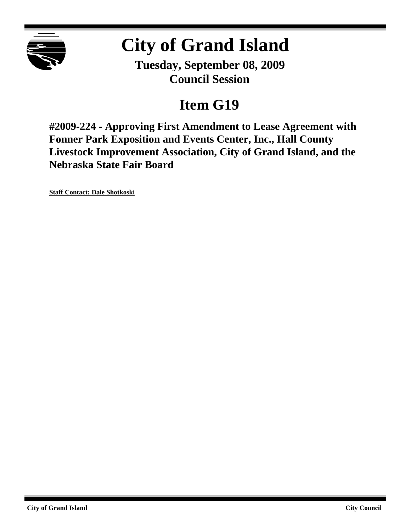

# **City of Grand Island**

**Tuesday, September 08, 2009 Council Session**

## **Item G19**

**#2009-224 - Approving First Amendment to Lease Agreement with Fonner Park Exposition and Events Center, Inc., Hall County Livestock Improvement Association, City of Grand Island, and the Nebraska State Fair Board**

**Staff Contact: Dale Shotkoski**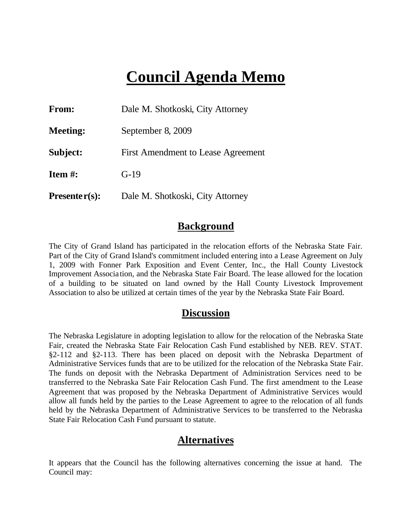## **Council Agenda Memo**

| <b>From:</b>    | Dale M. Shotkoski, City Attorney<br>September 8, 2009<br>First Amendment to Lease Agreement |  |  |
|-----------------|---------------------------------------------------------------------------------------------|--|--|
| <b>Meeting:</b> |                                                                                             |  |  |
| Subject:        |                                                                                             |  |  |
| Item #:         | $G-19$                                                                                      |  |  |
| $Presenter(s):$ | Dale M. Shotkoski, City Attorney                                                            |  |  |

### **Background**

The City of Grand Island has participated in the relocation efforts of the Nebraska State Fair. Part of the City of Grand Island's commitment included entering into a Lease Agreement on July 1, 2009 with Fonner Park Exposition and Event Center, Inc., the Hall County Livestock Improvement Associa tion, and the Nebraska State Fair Board. The lease allowed for the location of a building to be situated on land owned by the Hall County Livestock Improvement Association to also be utilized at certain times of the year by the Nebraska State Fair Board.

## **Discussion**

The Nebraska Legislature in adopting legislation to allow for the relocation of the Nebraska State Fair, created the Nebraska State Fair Relocation Cash Fund established by NEB. REV. STAT. §2-112 and §2-113. There has been placed on deposit with the Nebraska Department of Administrative Services funds that are to be utilized for the relocation of the Nebraska State Fair. The funds on deposit with the Nebraska Department of Administration Services need to be transferred to the Nebraska Sate Fair Relocation Cash Fund. The first amendment to the Lease Agreement that was proposed by the Nebraska Department of Administrative Services would allow all funds held by the parties to the Lease Agreement to agree to the relocation of all funds held by the Nebraska Department of Administrative Services to be transferred to the Nebraska State Fair Relocation Cash Fund pursuant to statute.

## **Alternatives**

It appears that the Council has the following alternatives concerning the issue at hand. The Council may: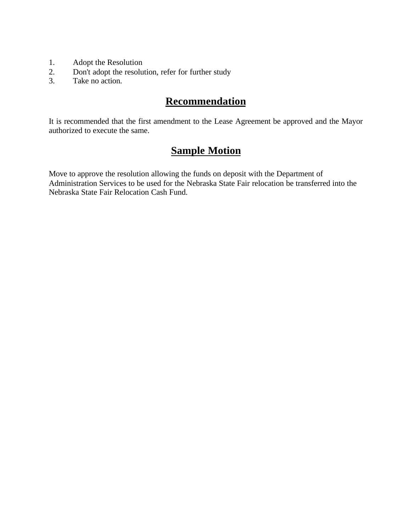- 1. Adopt the Resolution
- 2. Don't adopt the resolution, refer for further study
- 3. Take no action.

## **Recommendation**

It is recommended that the first amendment to the Lease Agreement be approved and the Mayor authorized to execute the same.

## **Sample Motion**

Move to approve the resolution allowing the funds on deposit with the Department of Administration Services to be used for the Nebraska State Fair relocation be transferred into the Nebraska State Fair Relocation Cash Fund.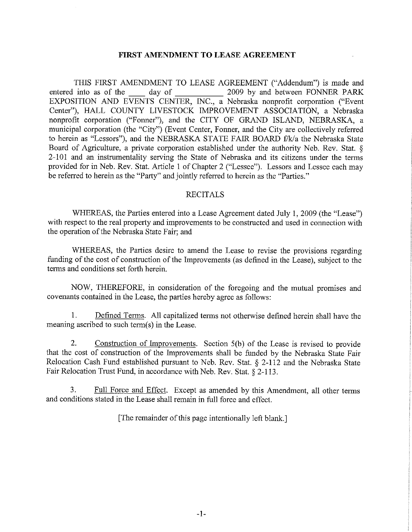#### FIRST AMENDMENT TO LEASE AGREEMENT

THIS FIRST AMENDMENT TO LEASE AGREEMENT ("Addendum") is made and 2009 by and between FONNER PARK entered into as of the day of EXPOSITION AND EVENTS CENTER, INC., a Nebraska nonprofit corporation ("Event Center"), HALL COUNTY LIVESTOCK IMPROVEMENT ASSOCIATION, a Nebraska nonprofit corporation ("Fonner"), and the CITY OF GRAND ISLAND, NEBRASKA, a municipal corporation (the "City") (Event Center, Fonner, and the City are collectively referred to herein as "Lessors"), and the NEBRASKA STATE FAIR BOARD f/k/a the Nebraska State Board of Agriculture, a private corporation established under the authority Neb. Rev. Stat. § 2-101 and an instrumentality serving the State of Nebraska and its citizens under the terms provided for in Neb. Rev. Stat. Article 1 of Chapter 2 ("Lessee"). Lessors and Lessee each may be referred to herein as the "Party" and jointly referred to herein as the "Parties."

#### **RECITALS**

WHEREAS, the Parties entered into a Lease Agreement dated July 1, 2009 (the "Lease") with respect to the real property and improvements to be constructed and used in connection with the operation of the Nebraska State Fair; and

WHEREAS, the Parties desire to amend the Lease to revise the provisions regarding funding of the cost of construction of the Improvements (as defined in the Lease), subject to the terms and conditions set forth herein.

NOW, THEREFORE, in consideration of the foregoing and the mutual promises and covenants contained in the Lease, the parties hereby agree as follows:

 $1.$ Defined Terms. All capitalized terms not otherwise defined herein shall have the meaning ascribed to such term(s) in the Lease.

 $2<sub>-</sub>$ Construction of Improvements. Section 5(b) of the Lease is revised to provide that the cost of construction of the Improvements shall be funded by the Nebraska State Fair Relocation Cash Fund established pursuant to Neb. Rev. Stat. § 2-112 and the Nebraska State Fair Relocation Trust Fund, in accordance with Neb. Rev. Stat. § 2-113.

3. Full Force and Effect. Except as amended by this Amendment, all other terms and conditions stated in the Lease shall remain in full force and effect.

[The remainder of this page intentionally left blank.]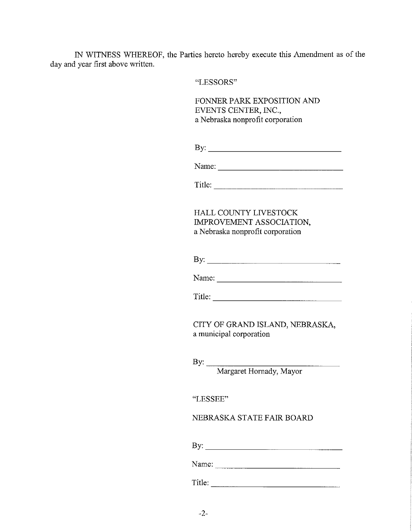IN WITNESS WHEREOF, the Parties hereto hereby execute this Amendment as of the day and year first above written.

"LESSORS"

FONNER PARK EXPOSITION AND EVENTS CENTER, INC., a Nebraska nonprofit corporation

| -<br>2.777<br>$\overline{\phantom{a}}$<br>. . |
|-----------------------------------------------|
|-----------------------------------------------|

Name:

Title:

HALL COUNTY LIVESTOCK IMPROVEMENT ASSOCIATION, a Nebraska nonprofit corporation

Name:  $\frac{1}{\sqrt{1-\frac{1}{2}}\sqrt{1-\frac{1}{2}}\sqrt{1-\frac{1}{2}}\sqrt{1-\frac{1}{2}}\sqrt{1-\frac{1}{2}}\sqrt{1-\frac{1}{2}}\sqrt{1-\frac{1}{2}}\sqrt{1-\frac{1}{2}}\sqrt{1-\frac{1}{2}}\sqrt{1-\frac{1}{2}}\sqrt{1-\frac{1}{2}}\sqrt{1-\frac{1}{2}}\sqrt{1-\frac{1}{2}}\sqrt{1-\frac{1}{2}}\sqrt{1-\frac{1}{2}}\sqrt{1-\frac{1}{2}}\sqrt{1-\frac{1}{2}}\sqrt{1-\frac{1}{2}}\sqrt{1-\frac{1}{2}}$ 

Title:  $\qquad \qquad \qquad$ 

CITY OF GRAND ISLAND, NEBRASKA, a municipal corporation

"LESSEE"

#### NEBRASKA STATE FAIR BOARD

Name: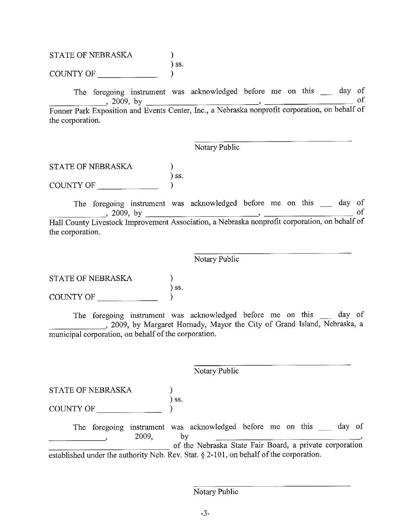#### STATE OF NEBRASKA ) ss. COUNTY OF  $\lambda$

The foregoing instrument was acknowledged before me on this \_\_ day of of 2009, by<br>Fonner Park Exposition and Events Center, Inc., a Nebraska nonprofit corporation, on behalf of the corporation.

## Notary Public

**STATE OF NEBRASKA**  $)$  SS. COUNTY OF  $\qquad \qquad$  $\mathcal{L}$ 

The foregoing instrument was acknowledged before me on this day of 2009, by<br>
Hall County Livestock Improvement Association, a Nebraska nonprofit corporation, on behalf of the corporation.

#### Notary Public

STATE OF NEBRASKA  $\int$  ss. COUNTY OF

The foregoing instrument was acknowledged before me on this \_\_\_\_\_ day of , 2009, by Margaret Hornady, Mayor the City of Grand Island, Nebraska, a municipal corporation, on behalf of the corporation.

Notary Public

STATE OF NEBRASKA

 $)$  ss. COUNTY OF  $\_\_$ 

The foregoing instrument was acknowledged before me on this \_\_ day of 2009, by<br>of the Nebraska State Fair Board, a private corporation established under the authority Neb. Rev. Stat. § 2-101, on behalf of the corporation.

 $\mathcal{L}$ 

Notary Public